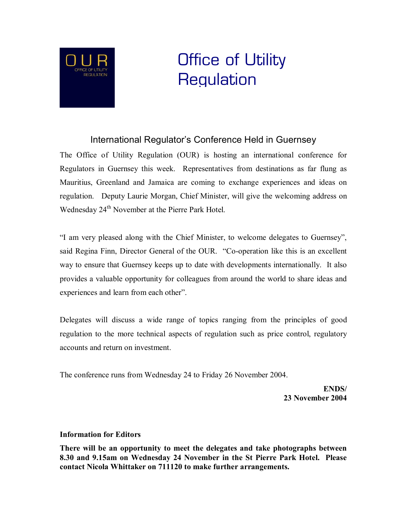

## Office of Utility **Regulation**

## International Regulator's Conference Held in Guernsey

The Office of Utility Regulation (OUR) is hosting an international conference for Regulators in Guernsey this week. Representatives from destinations as far flung as Mauritius, Greenland and Jamaica are coming to exchange experiences and ideas on regulation. Deputy Laurie Morgan, Chief Minister, will give the welcoming address on Wednesday 24<sup>th</sup> November at the Pierre Park Hotel.

"I am very pleased along with the Chief Minister, to welcome delegates to Guernsey", said Regina Finn, Director General of the OUR. "Co-operation like this is an excellent way to ensure that Guernsey keeps up to date with developments internationally. It also provides a valuable opportunity for colleagues from around the world to share ideas and experiences and learn from each other".

Delegates will discuss a wide range of topics ranging from the principles of good regulation to the more technical aspects of regulation such as price control, regulatory accounts and return on investment.

The conference runs from Wednesday 24 to Friday 26 November 2004.

**ENDS/ 23 November 2004**

## **Information for Editors**

**There will be an opportunity to meet the delegates and take photographs between 8.30 and 9.15am on Wednesday 24 November in the St Pierre Park Hotel. Please contact Nicola Whittaker on 711120 to make further arrangements.**